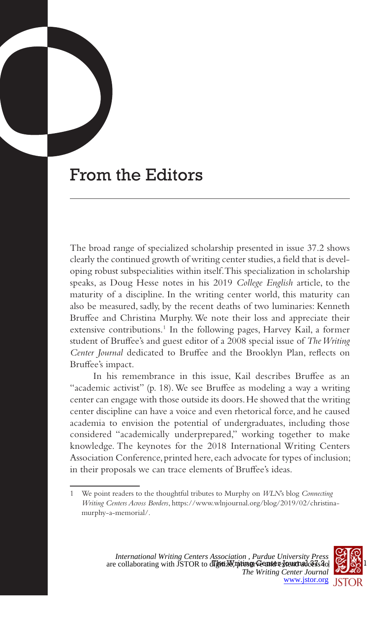## From the Editors

The broad range of specialized scholarship presented in issue 37.2 shows clearly the continued growth of writing center studies, a field that is developing robust subspecialities within itself. This specialization in scholarship speaks, as Doug Hesse notes in his 2019 *College English* article, to the maturity of a discipline. In the writing center world, this maturity can also be measured, sadly, by the recent deaths of two luminaries: Kenneth Bruffee and Christina Murphy. We note their loss and appreciate their extensive contributions.<sup>1</sup> In the following pages, Harvey Kail, a former student of Bruffee's and guest editor of a 2008 special issue of *The Writing Center Journal* dedicated to Bruffee and the Brooklyn Plan, reflects on Bruffee's impact.

In his remembrance in this issue, Kail describes Bruffee as an "academic activist" (p. 18). We see Bruffee as modeling a way a writing center can engage with those outside its doors. He showed that the writing center discipline can have a voice and even rhetorical force, and he caused academia to envision the potential of undergraduates, including those considered "academically underprepared," working together to make knowledge. The keynotes for the 2018 International Writing Centers Association Conference, printed here, each advocate for types of inclusion; in their proposals we can trace elements of Bruffee's ideas.



<sup>1</sup> We point readers to the thoughtful tributes to Murphy on *WLN*'s blog *Connecting Writing Centers Across Borders*, https://www.wlnjournal.org/blog/2019/02/christinamurphy-a-memorial/.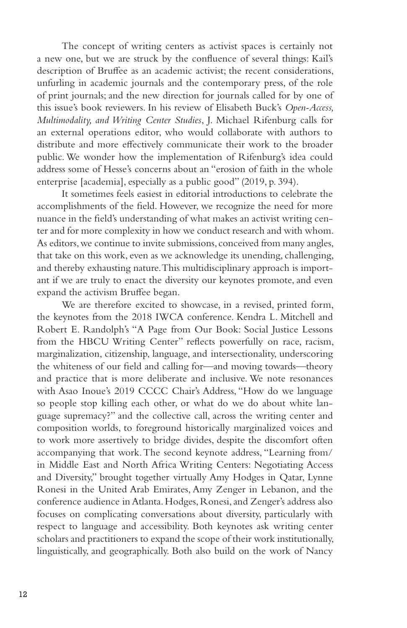The concept of writing centers as activist spaces is certainly not a new one, but we are struck by the confluence of several things: Kail's description of Bruffee as an academic activist; the recent considerations, unfurling in academic journals and the contemporary press, of the role of print journals; and the new direction for journals called for by one of this issue's book reviewers. In his review of Elisabeth Buck's *Open-Access, Multimodality, and Writing Center Studies*, J. Michael Rifenburg calls for an external operations editor, who would collaborate with authors to distribute and more effectively communicate their work to the broader public. We wonder how the implementation of Rifenburg's idea could address some of Hesse's concerns about an "erosion of faith in the whole enterprise [academia], especially as a public good" (2019, p. 394).

It sometimes feels easiest in editorial introductions to celebrate the accomplishments of the field. However, we recognize the need for more nuance in the field's understanding of what makes an activist writing center and for more complexity in how we conduct research and with whom. As editors, we continue to invite submissions, conceived from many angles, that take on this work, even as we acknowledge its unending, challenging, and thereby exhausting nature. This multidisciplinary approach is important if we are truly to enact the diversity our keynotes promote, and even expand the activism Bruffee began.

We are therefore excited to showcase, in a revised, printed form, the keynotes from the 2018 IWCA conference. Kendra L. Mitchell and Robert E. Randolph's "A Page from Our Book: Social Justice Lessons from the HBCU Writing Center" reflects powerfully on race, racism, marginalization, citizenship, language, and intersectionality, underscoring the whiteness of our field and calling for—and moving towards—theory and practice that is more deliberate and inclusive. We note resonances with Asao Inoue's 2019 CCCC Chair's Address, "How do we language so people stop killing each other, or what do we do about white language supremacy?" and the collective call, across the writing center and composition worlds, to foreground historically marginalized voices and to work more assertively to bridge divides, despite the discomfort often accompanying that work. The second keynote address, "Learning from/ in Middle East and North Africa Writing Centers: Negotiating Access and Diversity," brought together virtually Amy Hodges in Qatar, Lynne Ronesi in the United Arab Emirates, Amy Zenger in Lebanon, and the conference audience in Atlanta. Hodges, Ronesi, and Zenger's address also focuses on complicating conversations about diversity, particularly with respect to language and accessibility. Both keynotes ask writing center scholars and practitioners to expand the scope of their work institutionally, linguistically, and geographically. Both also build on the work of Nancy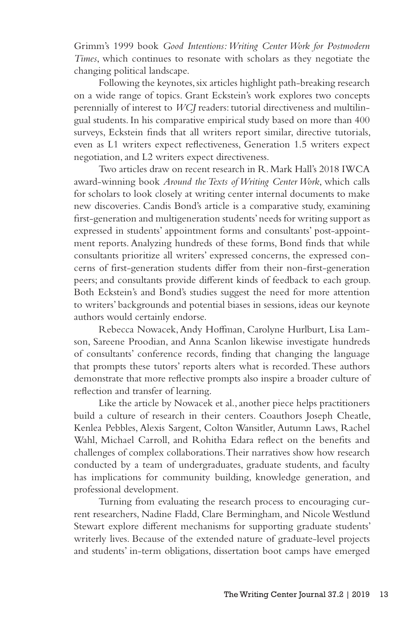Grimm's 1999 book *Good Intentions: Writing Center Work for Postmodern Times*, which continues to resonate with scholars as they negotiate the changing political landscape.

Following the keynotes, six articles highlight path-breaking research on a wide range of topics. Grant Eckstein's work explores two concepts perennially of interest to *WCJ* readers: tutorial directiveness and multilingual students. In his comparative empirical study based on more than 400 surveys, Eckstein finds that all writers report similar, directive tutorials, even as L1 writers expect reflectiveness, Generation 1.5 writers expect negotiation, and L2 writers expect directiveness.

Two articles draw on recent research in R. Mark Hall's 2018 IWCA award-winning book *Around the Texts of Writing Center Work*, which calls for scholars to look closely at writing center internal documents to make new discoveries. Candis Bond's article is a comparative study, examining first-generation and multigeneration students' needs for writing support as expressed in students' appointment forms and consultants' post-appointment reports. Analyzing hundreds of these forms, Bond finds that while consultants prioritize all writers' expressed concerns, the expressed concerns of first-generation students differ from their non-first-generation peers; and consultants provide different kinds of feedback to each group. Both Eckstein's and Bond's studies suggest the need for more attention to writers' backgrounds and potential biases in sessions, ideas our keynote authors would certainly endorse.

Rebecca Nowacek, Andy Hoffman, Carolyne Hurlburt, Lisa Lamson, Sareene Proodian, and Anna Scanlon likewise investigate hundreds of consultants' conference records, finding that changing the language that prompts these tutors' reports alters what is recorded. These authors demonstrate that more reflective prompts also inspire a broader culture of reflection and transfer of learning.

Like the article by Nowacek et al., another piece helps practitioners build a culture of research in their centers. Coauthors Joseph Cheatle, Kenlea Pebbles, Alexis Sargent, Colton Wansitler, Autumn Laws, Rachel Wahl, Michael Carroll, and Rohitha Edara reflect on the benefits and challenges of complex collaborations. Their narratives show how research conducted by a team of undergraduates, graduate students, and faculty has implications for community building, knowledge generation, and professional development.

Turning from evaluating the research process to encouraging current researchers, Nadine Fladd, Clare Bermingham, and Nicole Westlund Stewart explore different mechanisms for supporting graduate students' writerly lives. Because of the extended nature of graduate-level projects and students' in-term obligations, dissertation boot camps have emerged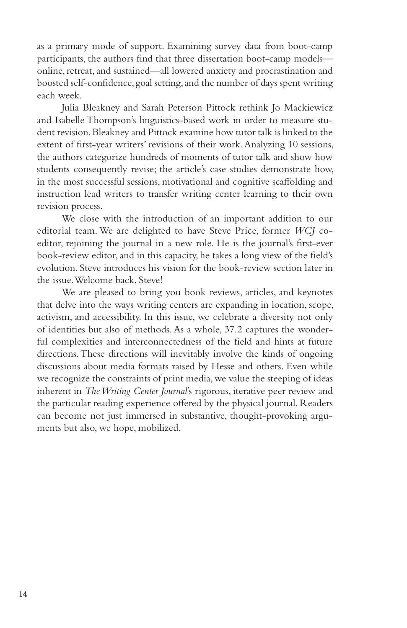as a primary mode of support. Examining survey data from boot-camp participants, the authors find that three dissertation boot-camp models online, retreat, and sustained—all lowered anxiety and procrastination and boosted self-confidence, goal setting, and the number of days spent writing each week.

Julia Bleakney and Sarah Peterson Pittock rethink Jo Mackiewicz and Isabelle Thompson's linguistics-based work in order to measure student revision. Bleakney and Pittock examine how tutor talk is linked to the extent of first-year writers' revisions of their work. Analyzing 10 sessions, the authors categorize hundreds of moments of tutor talk and show how students consequently revise; the article's case studies demonstrate how, in the most successful sessions, motivational and cognitive scaffolding and instruction lead writers to transfer writing center learning to their own revision process.

We close with the introduction of an important addition to our editorial team. We are delighted to have Steve Price, former *WCJ* coeditor, rejoining the journal in a new role. He is the journal's first-ever book-review editor, and in this capacity, he takes a long view of the field's evolution. Steve introduces his vision for the book-review section later in the issue. Welcome back, Steve!

We are pleased to bring you book reviews, articles, and keynotes that delve into the ways writing centers are expanding in location, scope, activism, and accessibility. In this issue, we celebrate a diversity not only of identities but also of methods. As a whole, 37.2 captures the wonderful complexities and interconnectedness of the field and hints at future directions. These directions will inevitably involve the kinds of ongoing discussions about media formats raised by Hesse and others. Even while we recognize the constraints of print media, we value the steeping of ideas inherent in *The Writing Center Journal*'s rigorous, iterative peer review and the particular reading experience offered by the physical journal. Readers can become not just immersed in substantive, thought-provoking arguments but also, we hope, mobilized.